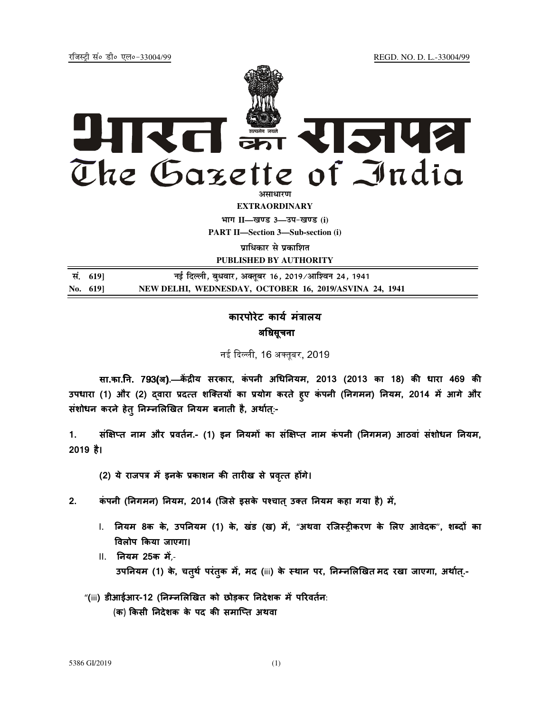<u>रजिस्ट्री सं</u>० डी० एल०-33004/99 *REGD. NO. D. L.-33004/99* 



**EXTRAORDINARY**

**Hkkx II—[k.M 3—mi&[k.M (i)**

**PART II—Section 3—Sub-section (i)** 

**प्राधिकार से प्रकाशित** 

**PUBLISHED BY AUTHORITY**

| सं. 6191  | नई दिल्ली, बुधवार, अक्तूबर 16, 2019/आश्विन 24, 1941    |
|-----------|--------------------------------------------------------|
| No. $619$ | NEW DELHI, WEDNESDAY, OCTOBER 16, 2019/ASVINA 24, 1941 |

## कारपोरेट कार्य मत्रालय अधिसूचना

नई दिल्ली, 16 अक्तबर, 2019<mark>,</mark>

सा.का.नि. 793(अ).—केंद्रीय सरकार, कंपनी अधिनियम, 2013 (2013 का 18) की धारा 469 की उपधारा (1) और (2) दवारा प्रदत्त शक्तियों का प्रयोग करते हुए कंपनी (निगमन) नियम, 2014 में आगे और संशोधन करने हेतु निम्नलिखित नियम बनाती है, अर्थात्:-

1. संक्षिप्त नाम और प्रवर्तन.- (1) इन नियमो का संक्षिप्त नाम कंपनी (निगमन) आठवा संशोधन नियम, 2019 है।

(2) ये राजपत्र में इनके प्रकाशन की तारीख से प्रवृत्त होंगे।

2. कंपनी (निगमन) नियम, 2014 (जिसे इसके पश्चात उक्त नियम कहा गया है) में,

- I. नियम 8क के, उपनियम (1) के, खंड (ख) में, "अथवा रजिस्ट्रीकरण के लिए आवेदक", शब्दों का Oवलोप Pकया जाएगा।
- II. नयम 25क म,- उपनियम (1) के, चतुर्थ परंतुक में, मद (iii) के स्थान पर, निम्नलिखित **मद रखा जाएगा, अर्थात्.**-
- "(iii) डीआईआर-12 (निम्नलिखित को छोड़कर निदेशक में परिवर्तन: (क) किसी निदेशक के पद की समाप्ति अथवा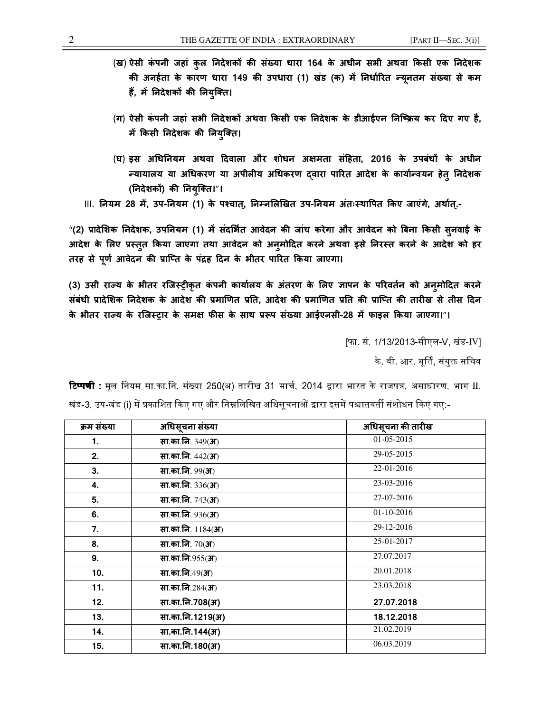- (ख) ऐसी कंपनी जहां कुल निदेशकों की संख्या धारा 164 के अधीन सभी अथवा किसी एक निदेशक की अनहेता के कारण धारा 149 की उपधारा (1) खंड (क) में निर्धारित न्यूनतम संख्या से कम हैं, में निदेशकों की नियुक्ति।
- (ग) ऐसी कंपनी जहां सभी निदेशकों अथवा किसी एक निदेशक के डीआईएन निष्क्रिय कर दिए गए है, में किसी निदेशक की नियुक्ति।
- (घ) इस अधिनियम अथवा दिवाला और शोधन अक्षमता संहिता, 2016 के उपबंधों के अधीन न्यायालय या अधिकरण या अपीलीय अधिकरण द्वारा पारित आदेश के कार्यान्वयन हेतु निर्देशक (निदेशकों) की नियुक्ति।"।

।।।. नियम 28 में, उप-नियम (1) के पश्चात्, निम्नलिखित उप-नियम अंतःस्थापित किए जाएंगे, अर्थात्.-

"(2) प्रादेशिक निदेशक, उपनियम (1) में संदर्भित आवेदन की जांच करेगा और आवेदन को बिना किसी सुनवाई के आदेश के लिए प्रस्तुत किया जाएगा तथा आवेदन को अनुमोदित करने अथवा इसे निरस्त करने के आदेश को हर तरह से पूर्ण आवेदन की प्राप्ति के पद्रह दिन के भीतर पारित किया जाएगा।

(3) उसी राज्य के भीतर रजिस्ट्रीकृत कपनी कार्यालय के अतरण के लिए ज्ञापन के परिवर्तन को अनुमोदित करने | संबंधी प्रादेशिक निदेशक के आदेश की प्रमाणित प्रति, आदेश की प्रमाणित प्रति की प्राप्ति की तारीख से तीस दिन के भीतर राज्य के रजिस्ट्रार के समक्ष फीस के साथ प्ररूप संख्या आईएनसी-28 में फाइल किया जाएगा।"।

[फा. सं. 1/13/2013-सीएल-V, खंड-IV]

के वी आर मर्ति संयक्त सचिव

]म संWया अधसचना ू संWयाअधसचना ू क! तारख 1.  $\frac{1}{2}$   $\frac{1}{2}$   $\frac{1}{2}$   $\frac{1}{2}$   $\frac{1}{2}$   $\frac{1}{2}$   $\frac{1}{2}$   $\frac{1}{2}$   $\frac{1}{2}$   $\frac{1}{2}$   $\frac{1}{2}$   $\frac{1}{2}$   $\frac{1}{2}$   $\frac{1}{2}$   $\frac{1}{2}$   $\frac{1}{2}$   $\frac{1}{2}$   $\frac{1}{2}$   $\frac{1}{2}$   $\frac{1}{2}$   $\frac{1}{2}$   $\frac{1}{2}$ 2. सा.का.नि.  $442(3)$  29-05-2015 3. सा.का.नि.  $99(3)$  22-01-2016 4.  $\boxed{q_1 = \frac{1}{23-03-2016}}$ 5. सा.का.नि. 743(अ) 27-07-2016 6.  $\frac{1}{201}$  सा.का.नि. 936(अ) 01-10-2016 7. सा.का.न. 1184(अ) 29-12-2016 8. सा.का.नि. 70(अ) 25-01-2017 9. सा.का.नि.955(अ) 27.07.2017 10. सा.का.नि.49(अ) 20.01.2018 11. **सा.का.नि.**284(अ) 23.03.2018 12. सा.का.न.708(अ) 27.07.2018 13. सा.का.न.1219(अ) 18.12.2018 14. सा.का.न.144(अ) 21.02.2019 15.  $\frac{1}{2}$  सा.का.नि.180(अ) 06.03.2019

**टिप्पणी :** मूल नियम सा.का.नि. संख्या 250(अ) तारीख 31 मार्च, 2014 द्वारा भारत के राजपत्र, असाधारण, भाग II, खंड-3, उप-खंड (i) में प्रकाशित किए गए और निम्नलिखित अधिसूचनाओं द्वारा इसमें पश्चातवर्ती संशोधन किए गए:-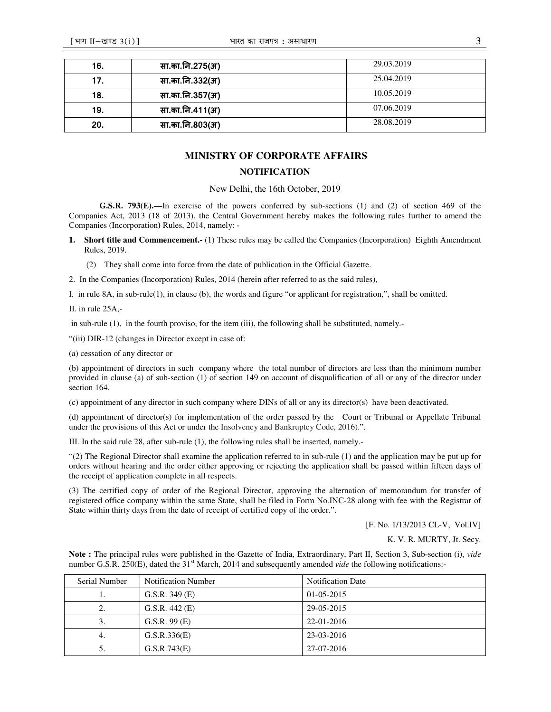| 16. | सा.का.नि.275(अ) | 29.03.2019 |
|-----|-----------------|------------|
| 17. | सा.का.नि.332(अ) | 25.04.2019 |
| 18. | सा.का.नि.357(अ) | 10.05.2019 |
| 19. | सा.का.नि.411(अ) | 07.06.2019 |
| 20. | सा.का.नि.803(अ) | 28.08.2019 |

## **MINISTRY OF CORPORATE AFFAIRS**

## **NOTIFICATION**

New Delhi, the 16th October, 2019

**G.S.R. 793(E).—**In exercise of the powers conferred by sub-sections (1) and (2) of section 469 of the Companies Act, 2013 (18 of 2013), the Central Government hereby makes the following rules further to amend the Companies (Incorporation**)** Rules, 2014, namely: -

- **1. Short title and Commencement.-** (1) These rules may be called the Companies (Incorporation)Eighth Amendment Rules, 2019.
	- (2) They shall come into force from the date of publication in the Official Gazette.
- 2. In the Companies (Incorporation) Rules, 2014 (herein after referred to as the said rules),

I. in rule 8A, in sub-rule(1), in clause (b), the words and figure "or applicant for registration,", shall be omitted.

II. in rule 25A,-

in sub-rule (1), in the fourth proviso, for the item (iii), the following shall be substituted, namely.-

"(iii) DIR-12 (changes in Director except in case of:

(a) cessation of any director or

(b) appointment of directors in such company where the total number of directors are less than the minimum number provided in clause (a) of sub-section (1) of section 149 on account of disqualification of all or any of the director under section 164.

(c) appointment of any director in such company where DINs of all or any its director(s) have been deactivated.

(d) appointment of director(s) for implementation of the order passed by the Court or Tribunal or Appellate Tribunal under the provisions of this Act or under the Insolvency and Bankruptcy Code, 2016).".

III. In the said rule 28, after sub-rule (1), the following rules shall be inserted, namely.-

"(2) The Regional Director shall examine the application referred to in sub-rule (1) and the application may be put up for orders without hearing and the order either approving or rejecting the application shall be passed within fifteen days of the receipt of application complete in all respects.

(3) The certified copy of order of the Regional Director, approving the alternation of memorandum for transfer of registered office company within the same State, shall be filed in Form No.INC-28 along with fee with the Registrar of State within thirty days from the date of receipt of certified copy of the order.".

[F. No. 1/13/2013 CL-V, Vol.IV]

K. V. R. MURTY, Jt. Secy.

**Note :** The principal rules were published in the Gazette of India, Extraordinary, Part II, Section 3, Sub-section (i), *vide* number G.S.R. 250(E), dated the 31<sup>st</sup> March, 2014 and subsequently amended *vide* the following notifications:-

| Serial Number | <b>Notification Number</b> | <b>Notification Date</b> |
|---------------|----------------------------|--------------------------|
| .,            | G.S.R. $349$ (E)           | $01-05-2015$             |
| 2.            | G.S.R. $442$ (E)           | 29-05-2015               |
| 3.            | G.S.R. 99(E)               | 22-01-2016               |
| 4.            | G.S.R.336(E)               | 23-03-2016               |
| 5.            | G.S.R.743(E)               | 27-07-2016               |